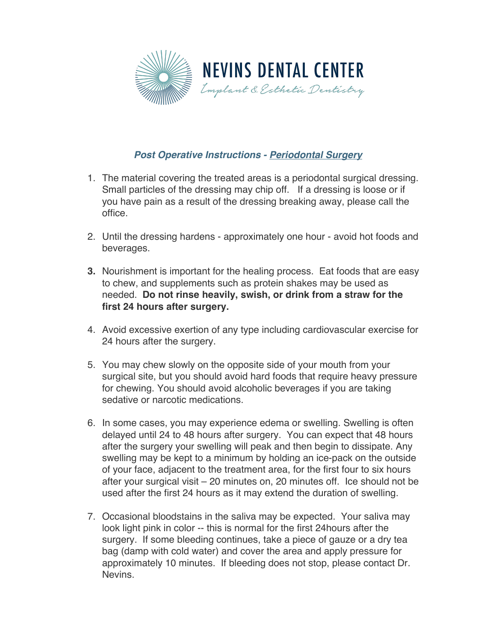

## *Post Operative Instructions - Periodontal Surgery*

- 1. The material covering the treated areas is a periodontal surgical dressing. Small particles of the dressing may chip off. If a dressing is loose or if you have pain as a result of the dressing breaking away, please call the office.
- 2. Until the dressing hardens approximately one hour avoid hot foods and beverages.
- **3.** Nourishment is important for the healing process. Eat foods that are easy to chew, and supplements such as protein shakes may be used as needed. **Do not rinse heavily, swish, or drink from a straw for the first 24 hours after surgery.**
- 4. Avoid excessive exertion of any type including cardiovascular exercise for 24 hours after the surgery.
- 5. You may chew slowly on the opposite side of your mouth from your surgical site, but you should avoid hard foods that require heavy pressure for chewing. You should avoid alcoholic beverages if you are taking sedative or narcotic medications.
- 6. In some cases, you may experience edema or swelling. Swelling is often delayed until 24 to 48 hours after surgery. You can expect that 48 hours after the surgery your swelling will peak and then begin to dissipate. Any swelling may be kept to a minimum by holding an ice-pack on the outside of your face, adjacent to the treatment area, for the first four to six hours after your surgical visit – 20 minutes on, 20 minutes off. Ice should not be used after the first 24 hours as it may extend the duration of swelling.
- 7. Occasional bloodstains in the saliva may be expected. Your saliva may look light pink in color -- this is normal for the first 24hours after the surgery. If some bleeding continues, take a piece of gauze or a dry tea bag (damp with cold water) and cover the area and apply pressure for approximately 10 minutes. If bleeding does not stop, please contact Dr. Nevins.